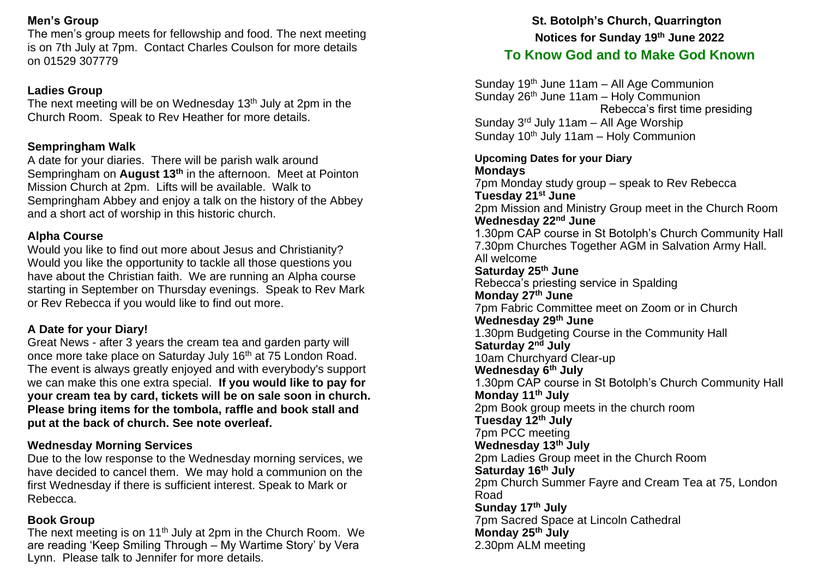### **Men's Group**

The men's group meets for fellowship and food. The next meeting is on 7th July at 7pm. Contact Charles Coulson for more details on 01529 307779

## **Ladies Group**

The next meeting will be on Wednesday  $13<sup>th</sup>$  July at 2pm in the Church Room. Speak to Rev Heather for more details.

# **Sempringham Walk**

A date for your diaries. There will be parish walk around Sempringham on **August 13th** in the afternoon. Meet at Pointon Mission Church at 2pm. Lifts will be available. Walk to Sempringham Abbey and enjoy a talk on the history of the Abbey and a short act of worship in this historic church.

# **Alpha Course**

Would you like to find out more about Jesus and Christianity? Would you like the opportunity to tackle all those questions you have about the Christian faith. We are running an Alpha course starting in September on Thursday evenings. Speak to Rev Mark or Rev Rebecca if you would like to find out more.

# **A Date for your Diary!**

Great News - after 3 years the cream tea and garden party will once more take place on Saturday July 16<sup>th</sup> at 75 London Road. The event is always greatly enjoyed and with everybody's support we can make this one extra special. **If you would like to pay for your cream tea by card, tickets will be on sale soon in church. Please bring items for the tombola, raffle and book stall and put at the back of church. See note overleaf.**

### **Wednesday Morning Services**

Due to the low response to the Wednesday morning services, we have decided to cancel them. We may hold a communion on the first Wednesday if there is sufficient interest. Speak to Mark or Rebecca.

### **Book Group**

The next meeting is on 11<sup>th</sup> July at 2pm in the Church Room. We are reading 'Keep Smiling Through – My Wartime Story' by Vera Lynn. Please talk to Jennifer for more details.

# **St. Botolph's Church, Quarrington Notices for Sunday 19 th June 2022**

# **To Know God and to Make God Known**

Sunday 19<sup>th</sup> June 11am - All Age Communion Sunday 26<sup>th</sup> June 11am - Holy Communion Rebecca's first time presiding Sunday 3rd July 11am – All Age Worship Sunday  $10<sup>th</sup>$  July 11am – Holy Communion

#### **Upcoming Dates for your Diary Mondays**

7pm Monday study group – speak to Rev Rebecca **Tuesday 21st June** 2pm Mission and Ministry Group meet in the Church Room **Wednesday 22nd June** 1.30pm CAP course in St Botolph's Church Community Hall 7.30pm Churches Together AGM in Salvation Army Hall. All welcome **Saturday 25th June** Rebecca's priesting service in Spalding **Monday 27th June** 7pm Fabric Committee meet on Zoom or in Church **Wednesday 29th June** 1.30pm Budgeting Course in the Community Hall **Saturday 2nd July** 10am Churchyard Clear-up **Wednesday 6th July** 1.30pm CAP course in St Botolph's Church Community Hall **Monday 11th July** 2pm Book group meets in the church room **Tuesday 12th July** 7pm PCC meeting **Wednesday 13th July**  2pm Ladies Group meet in the Church Room **Saturday 16th July** 2pm Church Summer Fayre and Cream Tea at 75, London Road **Sunday 17th July** 7pm Sacred Space at Lincoln Cathedral **Monday 25th July** 2.30pm ALM meeting